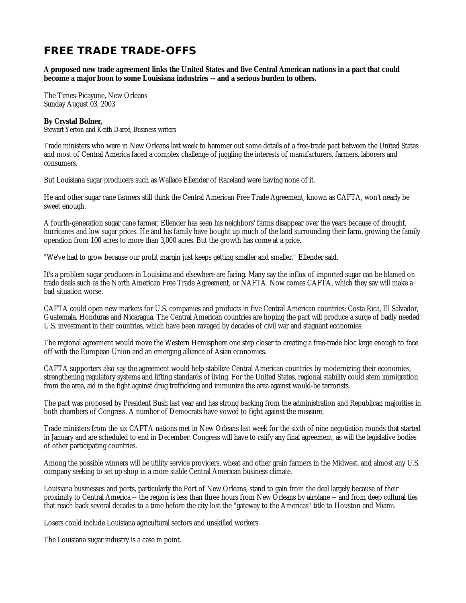# **FREE TRADE TRADE-OFFS**

**A proposed new trade agreement links the United States and five Central American nations in a pact that could become a major boon to some Louisiana industries -- and a serious burden to others.**

The Times-Picayune, New Orleans Sunday August 03, 2003

## **By Crystal Bolner,**

Stewart Yerton and Keith Darcé, Business writers

Trade ministers who were in New Orleans last week to hammer out some details of a free-trade pact between the United States and most of Central America faced a complex challenge of juggling the interests of manufacturers, farmers, laborers and consumers.

But Louisiana sugar producers such as Wallace Ellender of Raceland were having none of it.

He and other sugar cane farmers still think the Central American Free Trade Agreement, known as CAFTA, won't nearly be sweet enough.

A fourth-generation sugar cane farmer, Ellender has seen his neighbors' farms disappear over the years because of drought, hurricanes and low sugar prices. He and his family have bought up much of the land surrounding their farm, growing the family operation from 100 acres to more than 3,000 acres. But the growth has come at a price.

"We've had to grow because our profit margin just keeps getting smaller and smaller," Ellender said.

It's a problem sugar producers in Louisiana and elsewhere are facing. Many say the influx of imported sugar can be blamed on trade deals such as the North American Free Trade Agreement, or NAFTA. Now comes CAFTA, which they say will make a bad situation worse.

CAFTA could open new markets for U.S. companies and products in five Central American countries: Costa Rica, El Salvador, Guatemala, Honduras and Nicaragua. The Central American countries are hoping the pact will produce a surge of badly needed U.S. investment in their countries, which have been ravaged by decades of civil war and stagnant economies.

The regional agreement would move the Western Hemisphere one step closer to creating a free-trade bloc large enough to face off with the European Union and an emerging alliance of Asian economies.

CAFTA supporters also say the agreement would help stabilize Central American countries by modernizing their economies, strengthening regulatory systems and lifting standards of living. For the United States, regional stability could stem immigration from the area, aid in the fight against drug trafficking and immunize the area against would-be terrorists.

The pact was proposed by President Bush last year and has strong backing from the administration and Republican majorities in both chambers of Congress. A number of Democrats have vowed to fight against the measure.

Trade ministers from the six CAFTA nations met in New Orleans last week for the sixth of nine negotiation rounds that started in January and are scheduled to end in December. Congress will have to ratify any final agreement, as will the legislative bodies of other participating countries.

Among the possible winners will be utility service providers, wheat and other grain farmers in the Midwest, and almost any U.S. company seeking to set up shop in a more stable Central American business climate.

Louisiana businesses and ports, particularly the Port of New Orleans, stand to gain from the deal largely because of their proximity to Central America -- the region is less than three hours from New Orleans by airplane -- and from deep cultural ties that reach back several decades to a time before the city lost the "gateway to the Americas" title to Houston and Miami.

Losers could include Louisiana agricultural sectors and unskilled workers.

The Louisiana sugar industry is a case in point.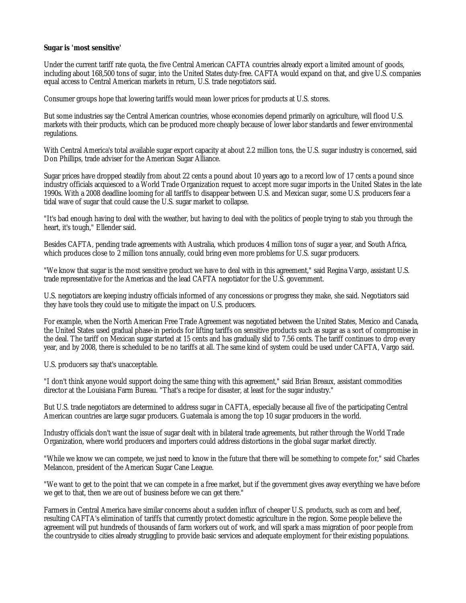## **Sugar is 'most sensitive'**

Under the current tariff rate quota, the five Central American CAFTA countries already export a limited amount of goods, including about 168,500 tons of sugar, into the United States duty-free. CAFTA would expand on that, and give U.S. companies equal access to Central American markets in return, U.S. trade negotiators said.

Consumer groups hope that lowering tariffs would mean lower prices for products at U.S. stores.

But some industries say the Central American countries, whose economies depend primarily on agriculture, will flood U.S. markets with their products, which can be produced more cheaply because of lower labor standards and fewer environmental regulations.

With Central America's total available sugar export capacity at about 2.2 million tons, the U.S. sugar industry is concerned, said Don Phillips, trade adviser for the American Sugar Alliance.

Sugar prices have dropped steadily from about 22 cents a pound about 10 years ago to a record low of 17 cents a pound since industry officials acquiesced to a World Trade Organization request to accept more sugar imports in the United States in the late 1990s. With a 2008 deadline looming for all tariffs to disappear between U.S. and Mexican sugar, some U.S. producers fear a tidal wave of sugar that could cause the U.S. sugar market to collapse.

"It's bad enough having to deal with the weather, but having to deal with the politics of people trying to stab you through the heart, it's tough," Ellender said.

Besides CAFTA, pending trade agreements with Australia, which produces 4 million tons of sugar a year, and South Africa, which produces close to 2 million tons annually, could bring even more problems for U.S. sugar producers.

"We know that sugar is the most sensitive product we have to deal with in this agreement," said Regina Vargo, assistant U.S. trade representative for the Americas and the lead CAFTA negotiator for the U.S. government.

U.S. negotiators are keeping industry officials informed of any concessions or progress they make, she said. Negotiators said they have tools they could use to mitigate the impact on U.S. producers.

For example, when the North American Free Trade Agreement was negotiated between the United States, Mexico and Canada, the United States used gradual phase-in periods for lifting tariffs on sensitive products such as sugar as a sort of compromise in the deal. The tariff on Mexican sugar started at 15 cents and has gradually slid to 7.56 cents. The tariff continues to drop every year, and by 2008, there is scheduled to be no tariffs at all. The same kind of system could be used under CAFTA, Vargo said.

U.S. producers say that's unacceptable.

"I don't think anyone would support doing the same thing with this agreement," said Brian Breaux, assistant commodities director at the Louisiana Farm Bureau. "That's a recipe for disaster, at least for the sugar industry."

But U.S. trade negotiators are determined to address sugar in CAFTA, especially because all five of the participating Central American countries are large sugar producers. Guatemala is among the top 10 sugar producers in the world.

Industry officials don't want the issue of sugar dealt with in bilateral trade agreements, but rather through the World Trade Organization, where world producers and importers could address distortions in the global sugar market directly.

"While we know we can compete, we just need to know in the future that there will be something to compete for," said Charles Melancon, president of the American Sugar Cane League.

"We want to get to the point that we can compete in a free market, but if the government gives away everything we have before we get to that, then we are out of business before we can get there."

Farmers in Central America have similar concerns about a sudden influx of cheaper U.S. products, such as corn and beef, resulting CAFTA's elimination of tariffs that currently protect domestic agriculture in the region. Some people believe the agreement will put hundreds of thousands of farm workers out of work, and will spark a mass migration of poor people from the countryside to cities already struggling to provide basic services and adequate employment for their existing populations.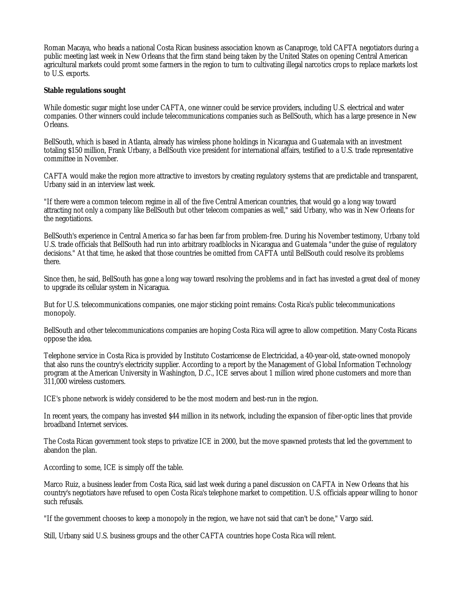Roman Macaya, who heads a national Costa Rican business association known as Canaproge, told CAFTA negotiators during a public meeting last week in New Orleans that the firm stand being taken by the United States on opening Central American agricultural markets could promt some farmers in the region to turn to cultivating illegal narcotics crops to replace markets lost to U.S. exports.

## **Stable regulations sought**

While domestic sugar might lose under CAFTA, one winner could be service providers, including U.S. electrical and water companies. Other winners could include telecommunications companies such as BellSouth, which has a large presence in New Orleans.

BellSouth, which is based in Atlanta, already has wireless phone holdings in Nicaragua and Guatemala with an investment totaling \$150 million, Frank Urbany, a BellSouth vice president for international affairs, testified to a U.S. trade representative committee in November.

CAFTA would make the region more attractive to investors by creating regulatory systems that are predictable and transparent, Urbany said in an interview last week.

"If there were a common telecom regime in all of the five Central American countries, that would go a long way toward attracting not only a company like BellSouth but other telecom companies as well," said Urbany, who was in New Orleans for the negotiations.

BellSouth's experience in Central America so far has been far from problem-free. During his November testimony, Urbany told U.S. trade officials that BellSouth had run into arbitrary roadblocks in Nicaragua and Guatemala "under the guise of regulatory decisions." At that time, he asked that those countries be omitted from CAFTA until BellSouth could resolve its problems there.

Since then, he said, BellSouth has gone a long way toward resolving the problems and in fact has invested a great deal of money to upgrade its cellular system in Nicaragua.

But for U.S. telecommunications companies, one major sticking point remains: Costa Rica's public telecommunications monopoly.

BellSouth and other telecommunications companies are hoping Costa Rica will agree to allow competition. Many Costa Ricans oppose the idea.

Telephone service in Costa Rica is provided by Instituto Costarricense de Electricidad, a 40-year-old, state-owned monopoly that also runs the country's electricity supplier. According to a report by the Management of Global Information Technology program at the American University in Washington, D.C., ICE serves about 1 million wired phone customers and more than 311,000 wireless customers.

ICE's phone network is widely considered to be the most modern and best-run in the region.

In recent years, the company has invested \$44 million in its network, including the expansion of fiber-optic lines that provide broadband Internet services.

The Costa Rican government took steps to privatize ICE in 2000, but the move spawned protests that led the government to abandon the plan.

According to some, ICE is simply off the table.

Marco Ruiz, a business leader from Costa Rica, said last week during a panel discussion on CAFTA in New Orleans that his country's negotiators have refused to open Costa Rica's telephone market to competition. U.S. officials appear willing to honor such refusals.

"If the government chooses to keep a monopoly in the region, we have not said that can't be done," Vargo said.

Still, Urbany said U.S. business groups and the other CAFTA countries hope Costa Rica will relent.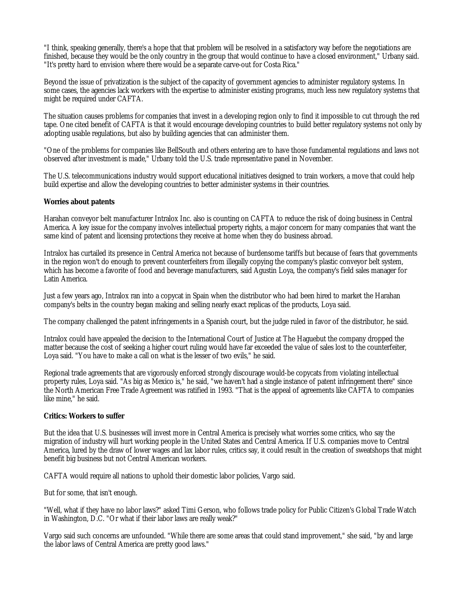"I think, speaking generally, there's a hope that that problem will be resolved in a satisfactory way before the negotiations are finished, because they would be the only country in the group that would continue to have a closed environment," Urbany said. "It's pretty hard to envision where there would be a separate carve-out for Costa Rica."

Beyond the issue of privatization is the subject of the capacity of government agencies to administer regulatory systems. In some cases, the agencies lack workers with the expertise to administer existing programs, much less new regulatory systems that might be required under CAFTA.

The situation causes problems for companies that invest in a developing region only to find it impossible to cut through the red tape. One cited benefit of CAFTA is that it would encourage developing countries to build better regulatory systems not only by adopting usable regulations, but also by building agencies that can administer them.

"One of the problems for companies like BellSouth and others entering are to have those fundamental regulations and laws not observed after investment is made," Urbany told the U.S. trade representative panel in November.

The U.S. telecommunications industry would support educational initiatives designed to train workers, a move that could help build expertise and allow the developing countries to better administer systems in their countries.

#### **Worries about patents**

Harahan conveyor belt manufacturer Intralox Inc. also is counting on CAFTA to reduce the risk of doing business in Central America. A key issue for the company involves intellectual property rights, a major concern for many companies that want the same kind of patent and licensing protections they receive at home when they do business abroad.

Intralox has curtailed its presence in Central America not because of burdensome tariffs but because of fears that governments in the region won't do enough to prevent counterfeiters from illegally copying the company's plastic conveyor belt system, which has become a favorite of food and beverage manufacturers, said Agustin Loya, the company's field sales manager for Latin America.

Just a few years ago, Intralox ran into a copycat in Spain when the distributor who had been hired to market the Harahan company's belts in the country began making and selling nearly exact replicas of the products, Loya said.

The company challenged the patent infringements in a Spanish court, but the judge ruled in favor of the distributor, he said.

Intralox could have appealed the decision to the International Court of Justice at The Haguebut the company dropped the matter because the cost of seeking a higher court ruling would have far exceeded the value of sales lost to the counterfeiter, Loya said. "You have to make a call on what is the lesser of two evils," he said.

Regional trade agreements that are vigorously enforced strongly discourage would-be copycats from violating intellectual property rules, Loya said. "As big as Mexico is," he said, "we haven't had a single instance of patent infringement there" since the North American Free Trade Agreement was ratified in 1993. "That is the appeal of agreements like CAFTA to companies like mine," he said.

#### **Critics: Workers to suffer**

But the idea that U.S. businesses will invest more in Central America is precisely what worries some critics, who say the migration of industry will hurt working people in the United States and Central America. If U.S. companies move to Central America, lured by the draw of lower wages and lax labor rules, critics say, it could result in the creation of sweatshops that might benefit big business but not Central American workers.

CAFTA would require all nations to uphold their domestic labor policies, Vargo said.

But for some, that isn't enough.

"Well, what if they have no labor laws?" asked Timi Gerson, who follows trade policy for Public Citizen's Global Trade Watch in Washington, D.C. "Or what if their labor laws are really weak?"

Vargo said such concerns are unfounded. "While there are some areas that could stand improvement," she said, "by and large the labor laws of Central America are pretty good laws."